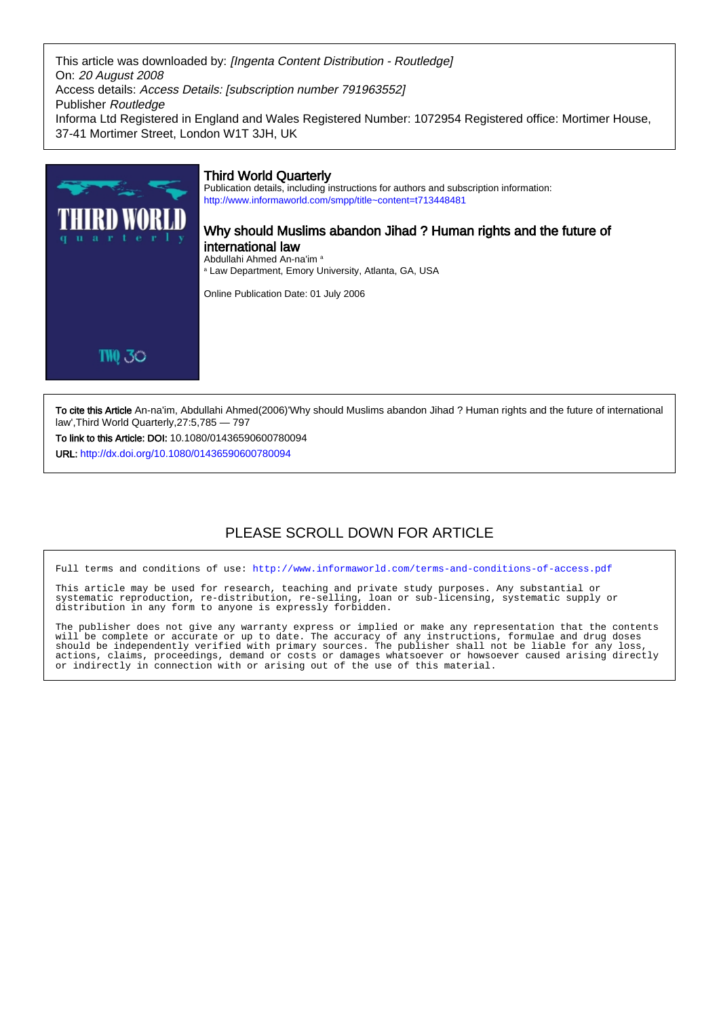This article was downloaded by: *[Ingenta Content Distribution - Routledge]* On: 20 August 2008 Access details: Access Details: [subscription number 791963552] Publisher Routledge Informa Ltd Registered in England and Wales Registered Number: 1072954 Registered office: Mortimer House, 37-41 Mortimer Street, London W1T 3JH, UK



To cite this Article An-na'im, Abdullahi Ahmed(2006)'Why should Muslims abandon Jihad ? Human rights and the future of international law',Third World Quarterly,27:5,785 — 797

To link to this Article: DOI: 10.1080/01436590600780094

URL: <http://dx.doi.org/10.1080/01436590600780094>

# PLEASE SCROLL DOWN FOR ARTICLE

Full terms and conditions of use:<http://www.informaworld.com/terms-and-conditions-of-access.pdf>

This article may be used for research, teaching and private study purposes. Any substantial or systematic reproduction, re-distribution, re-selling, loan or sub-licensing, systematic supply or distribution in any form to anyone is expressly forbidden.

The publisher does not give any warranty express or implied or make any representation that the contents will be complete or accurate or up to date. The accuracy of any instructions, formulae and drug doses should be independently verified with primary sources. The publisher shall not be liable for any loss, actions, claims, proceedings, demand or costs or damages whatsoever or howsoever caused arising directly or indirectly in connection with or arising out of the use of this material.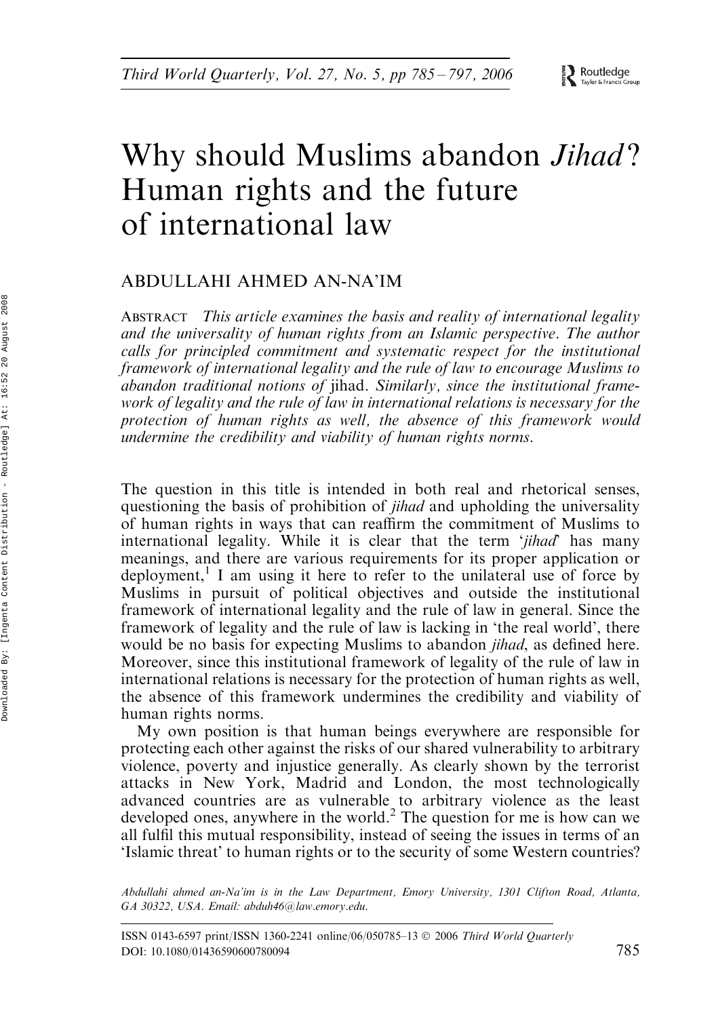# Why should Muslims abandon *Jihad*? Human rights and the future of international law

## ABDULLAHI AHMED AN-NA'IM

ABSTRACT This article examines the basis and reality of international legality and the universality of human rights from an Islamic perspective. The author calls for principled commitment and systematic respect for the institutional framework of international legality and the rule of law to encourage Muslims to abandon traditional notions of jihad. Similarly, since the institutional framework of legality and the rule of law in international relations is necessary for the protection of human rights as well, the absence of this framework would undermine the credibility and viability of human rights norms.

The question in this title is intended in both real and rhetorical senses, questioning the basis of prohibition of *jihad* and upholding the universality of human rights in ways that can reaffirm the commitment of Muslims to international legality. While it is clear that the term *'jihad'* has many meanings, and there are various requirements for its proper application or deployment, $\frac{1}{1}$  I am using it here to refer to the unilateral use of force by Muslims in pursuit of political objectives and outside the institutional framework of international legality and the rule of law in general. Since the framework of legality and the rule of law is lacking in 'the real world', there would be no basis for expecting Muslims to abandon jihad, as defined here. Moreover, since this institutional framework of legality of the rule of law in international relations is necessary for the protection of human rights as well, the absence of this framework undermines the credibility and viability of human rights norms.

My own position is that human beings everywhere are responsible for protecting each other against the risks of our shared vulnerability to arbitrary violence, poverty and injustice generally. As clearly shown by the terrorist attacks in New York, Madrid and London, the most technologically advanced countries are as vulnerable to arbitrary violence as the least developed ones, anywhere in the world. $<sup>2</sup>$  The question for me is how can we</sup> all fulfil this mutual responsibility, instead of seeing the issues in terms of an 'Islamic threat' to human rights or to the security of some Western countries?

Abdullahi ahmed an-Na'im is in the Law Department, Emory University, 1301 Clifton Road, Atlanta, GA 30322, USA. Email: abduh46@law.emory.edu.

ISSN 0143-6597 print/ISSN 1360-2241 online/06/050785-13 @ 2006 Third World Quarterly DOI: 10.1080/01436590600780094 785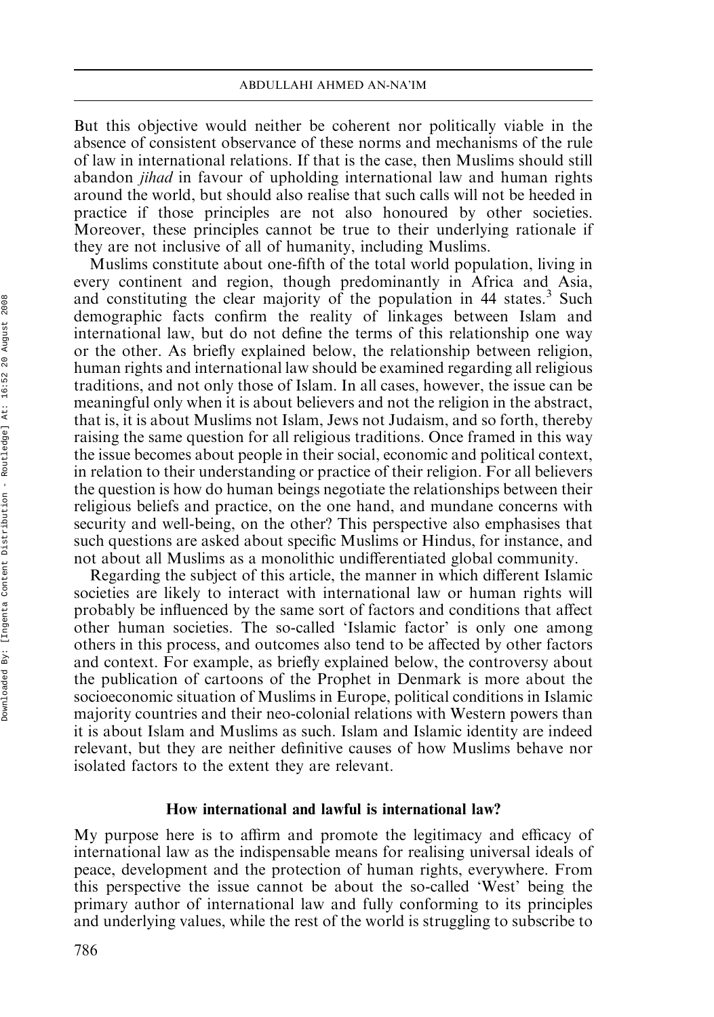But this objective would neither be coherent nor politically viable in the absence of consistent observance of these norms and mechanisms of the rule of law in international relations. If that is the case, then Muslims should still abandon *jihad* in favour of upholding international law and human rights around the world, but should also realise that such calls will not be heeded in practice if those principles are not also honoured by other societies. Moreover, these principles cannot be true to their underlying rationale if they are not inclusive of all of humanity, including Muslims.

Muslims constitute about one-fifth of the total world population, living in every continent and region, though predominantly in Africa and Asia, and constituting the clear majority of the population in 44 states.<sup>3</sup> Such demographic facts confirm the reality of linkages between Islam and international law, but do not define the terms of this relationship one way or the other. As briefly explained below, the relationship between religion, human rights and international law should be examined regarding all religious traditions, and not only those of Islam. In all cases, however, the issue can be meaningful only when it is about believers and not the religion in the abstract, that is, it is about Muslims not Islam, Jews not Judaism, and so forth, thereby raising the same question for all religious traditions. Once framed in this way the issue becomes about people in their social, economic and political context, in relation to their understanding or practice of their religion. For all believers the question is how do human beings negotiate the relationships between their religious beliefs and practice, on the one hand, and mundane concerns with security and well-being, on the other? This perspective also emphasises that such questions are asked about specific Muslims or Hindus, for instance, and not about all Muslims as a monolithic undifferentiated global community.

Regarding the subject of this article, the manner in which different Islamic societies are likely to interact with international law or human rights will probably be influenced by the same sort of factors and conditions that affect other human societies. The so-called 'Islamic factor' is only one among others in this process, and outcomes also tend to be affected by other factors and context. For example, as briefly explained below, the controversy about the publication of cartoons of the Prophet in Denmark is more about the socioeconomic situation of Muslims in Europe, political conditions in Islamic majority countries and their neo-colonial relations with Western powers than it is about Islam and Muslims as such. Islam and Islamic identity are indeed relevant, but they are neither definitive causes of how Muslims behave nor isolated factors to the extent they are relevant.

#### How international and lawful is international law?

My purpose here is to affirm and promote the legitimacy and efficacy of international law as the indispensable means for realising universal ideals of peace, development and the protection of human rights, everywhere. From this perspective the issue cannot be about the so-called 'West' being the primary author of international law and fully conforming to its principles and underlying values, while the rest of the world is struggling to subscribe to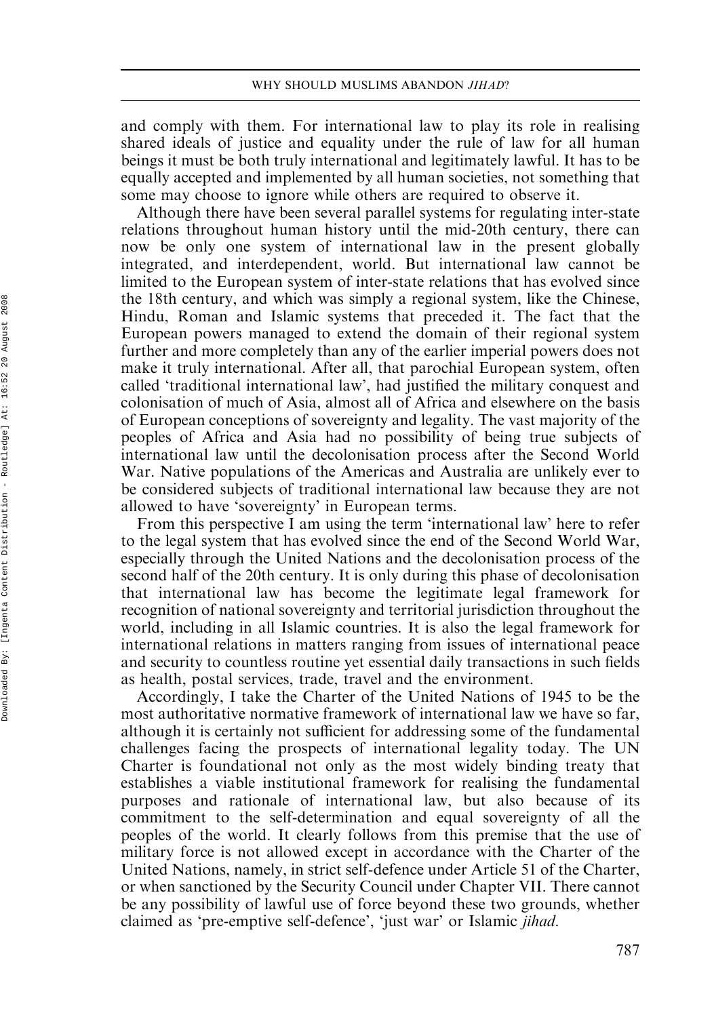and comply with them. For international law to play its role in realising shared ideals of justice and equality under the rule of law for all human beings it must be both truly international and legitimately lawful. It has to be equally accepted and implemented by all human societies, not something that some may choose to ignore while others are required to observe it.

Although there have been several parallel systems for regulating inter-state relations throughout human history until the mid-20th century, there can now be only one system of international law in the present globally integrated, and interdependent, world. But international law cannot be limited to the European system of inter-state relations that has evolved since the 18th century, and which was simply a regional system, like the Chinese, Hindu, Roman and Islamic systems that preceded it. The fact that the European powers managed to extend the domain of their regional system further and more completely than any of the earlier imperial powers does not make it truly international. After all, that parochial European system, often called 'traditional international law', had justified the military conquest and colonisation of much of Asia, almost all of Africa and elsewhere on the basis of European conceptions of sovereignty and legality. The vast majority of the peoples of Africa and Asia had no possibility of being true subjects of international law until the decolonisation process after the Second World War. Native populations of the Americas and Australia are unlikely ever to be considered subjects of traditional international law because they are not allowed to have 'sovereignty' in European terms.

From this perspective I am using the term 'international law' here to refer to the legal system that has evolved since the end of the Second World War, especially through the United Nations and the decolonisation process of the second half of the 20th century. It is only during this phase of decolonisation that international law has become the legitimate legal framework for recognition of national sovereignty and territorial jurisdiction throughout the world, including in all Islamic countries. It is also the legal framework for international relations in matters ranging from issues of international peace and security to countless routine yet essential daily transactions in such fields as health, postal services, trade, travel and the environment.

Accordingly, I take the Charter of the United Nations of 1945 to be the most authoritative normative framework of international law we have so far, although it is certainly not sufficient for addressing some of the fundamental challenges facing the prospects of international legality today. The UN Charter is foundational not only as the most widely binding treaty that establishes a viable institutional framework for realising the fundamental purposes and rationale of international law, but also because of its commitment to the self-determination and equal sovereignty of all the peoples of the world. It clearly follows from this premise that the use of military force is not allowed except in accordance with the Charter of the United Nations, namely, in strict self-defence under Article 51 of the Charter, or when sanctioned by the Security Council under Chapter VII. There cannot be any possibility of lawful use of force beyond these two grounds, whether claimed as 'pre-emptive self-defence', 'just war' or Islamic jihad.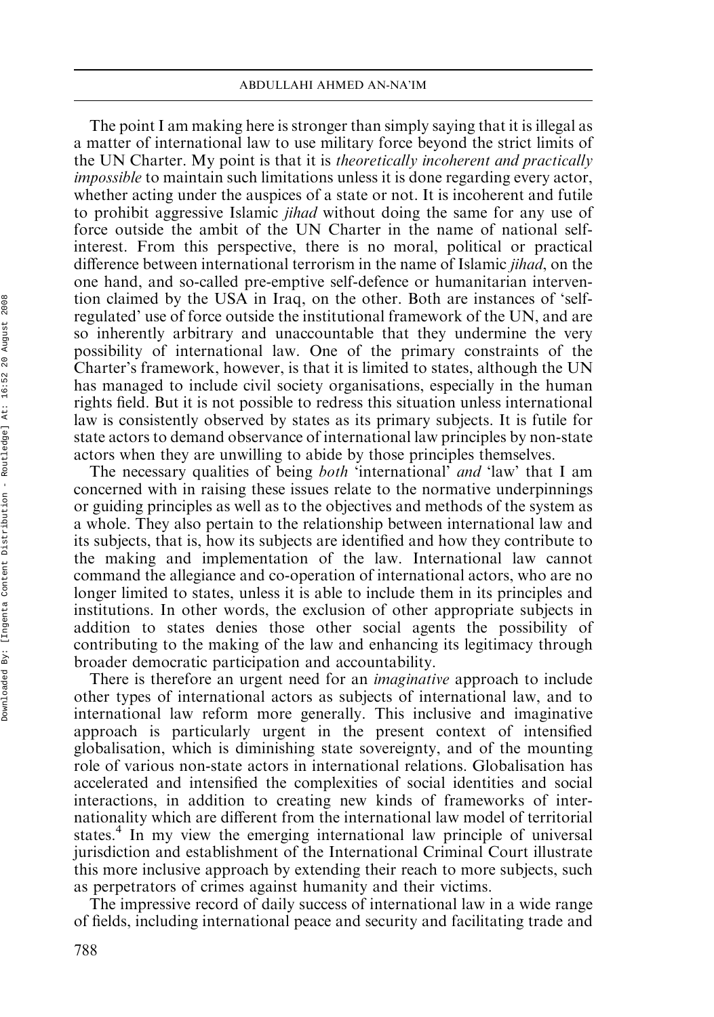The point I am making here is stronger than simply saying that it is illegal as a matter of international law to use military force beyond the strict limits of the UN Charter. My point is that it is theoretically incoherent and practically impossible to maintain such limitations unless it is done regarding every actor, whether acting under the auspices of a state or not. It is incoherent and futile to prohibit aggressive Islamic *jihad* without doing the same for any use of force outside the ambit of the UN Charter in the name of national selfinterest. From this perspective, there is no moral, political or practical difference between international terrorism in the name of Islamic jihad, on the one hand, and so-called pre-emptive self-defence or humanitarian intervention claimed by the USA in Iraq, on the other. Both are instances of 'selfregulated' use of force outside the institutional framework of the UN, and are so inherently arbitrary and unaccountable that they undermine the very possibility of international law. One of the primary constraints of the Charter's framework, however, is that it is limited to states, although the UN has managed to include civil society organisations, especially in the human rights field. But it is not possible to redress this situation unless international law is consistently observed by states as its primary subjects. It is futile for state actors to demand observance of international law principles by non-state actors when they are unwilling to abide by those principles themselves.

The necessary qualities of being *both* 'international' *and* 'law' that I am concerned with in raising these issues relate to the normative underpinnings or guiding principles as well as to the objectives and methods of the system as a whole. They also pertain to the relationship between international law and its subjects, that is, how its subjects are identified and how they contribute to the making and implementation of the law. International law cannot command the allegiance and co-operation of international actors, who are no longer limited to states, unless it is able to include them in its principles and institutions. In other words, the exclusion of other appropriate subjects in addition to states denies those other social agents the possibility of contributing to the making of the law and enhancing its legitimacy through broader democratic participation and accountability.

There is therefore an urgent need for an *imaginative* approach to include other types of international actors as subjects of international law, and to international law reform more generally. This inclusive and imaginative approach is particularly urgent in the present context of intensified globalisation, which is diminishing state sovereignty, and of the mounting role of various non-state actors in international relations. Globalisation has accelerated and intensified the complexities of social identities and social interactions, in addition to creating new kinds of frameworks of internationality which are different from the international law model of territorial states.<sup>4</sup> In my view the emerging international law principle of universal jurisdiction and establishment of the International Criminal Court illustrate this more inclusive approach by extending their reach to more subjects, such as perpetrators of crimes against humanity and their victims.

The impressive record of daily success of international law in a wide range of fields, including international peace and security and facilitating trade and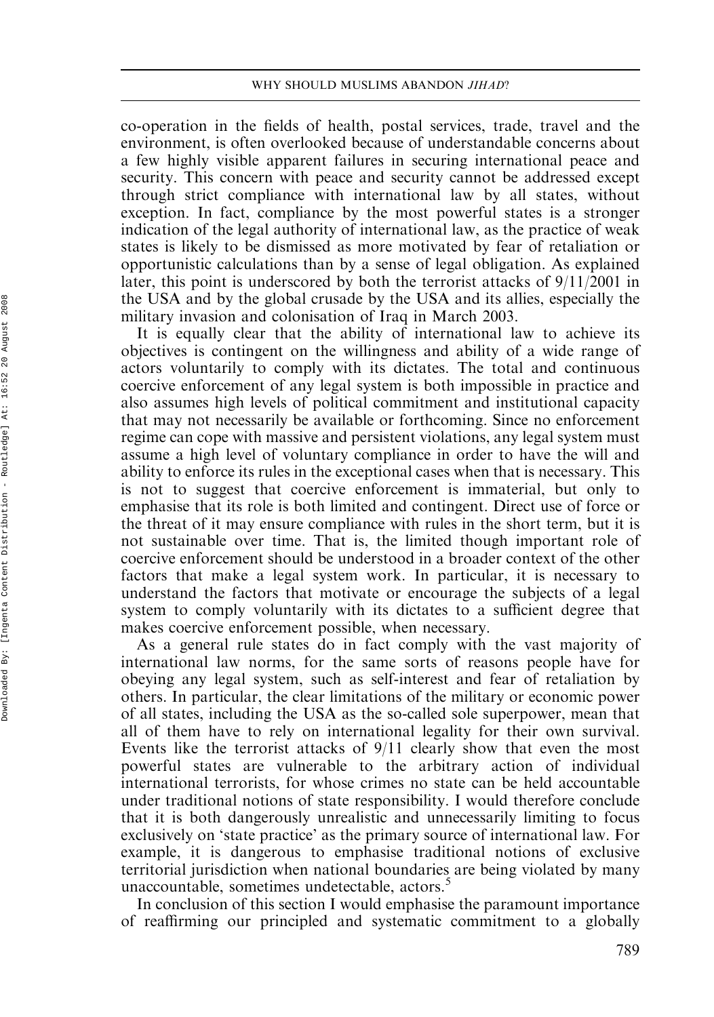co-operation in the fields of health, postal services, trade, travel and the environment, is often overlooked because of understandable concerns about a few highly visible apparent failures in securing international peace and security. This concern with peace and security cannot be addressed except through strict compliance with international law by all states, without exception. In fact, compliance by the most powerful states is a stronger indication of the legal authority of international law, as the practice of weak states is likely to be dismissed as more motivated by fear of retaliation or opportunistic calculations than by a sense of legal obligation. As explained later, this point is underscored by both the terrorist attacks of 9/11/2001 in the USA and by the global crusade by the USA and its allies, especially the military invasion and colonisation of Iraq in March 2003.

It is equally clear that the ability of international law to achieve its objectives is contingent on the willingness and ability of a wide range of actors voluntarily to comply with its dictates. The total and continuous coercive enforcement of any legal system is both impossible in practice and also assumes high levels of political commitment and institutional capacity that may not necessarily be available or forthcoming. Since no enforcement regime can cope with massive and persistent violations, any legal system must assume a high level of voluntary compliance in order to have the will and ability to enforce its rules in the exceptional cases when that is necessary. This is not to suggest that coercive enforcement is immaterial, but only to emphasise that its role is both limited and contingent. Direct use of force or the threat of it may ensure compliance with rules in the short term, but it is not sustainable over time. That is, the limited though important role of coercive enforcement should be understood in a broader context of the other factors that make a legal system work. In particular, it is necessary to understand the factors that motivate or encourage the subjects of a legal system to comply voluntarily with its dictates to a sufficient degree that makes coercive enforcement possible, when necessary.

As a general rule states do in fact comply with the vast majority of international law norms, for the same sorts of reasons people have for obeying any legal system, such as self-interest and fear of retaliation by others. In particular, the clear limitations of the military or economic power of all states, including the USA as the so-called sole superpower, mean that all of them have to rely on international legality for their own survival. Events like the terrorist attacks of 9/11 clearly show that even the most powerful states are vulnerable to the arbitrary action of individual international terrorists, for whose crimes no state can be held accountable under traditional notions of state responsibility. I would therefore conclude that it is both dangerously unrealistic and unnecessarily limiting to focus exclusively on 'state practice' as the primary source of international law. For example, it is dangerous to emphasise traditional notions of exclusive territorial jurisdiction when national boundaries are being violated by many unaccountable, sometimes undetectable, actors.<sup>5</sup>

In conclusion of this section I would emphasise the paramount importance of reaffirming our principled and systematic commitment to a globally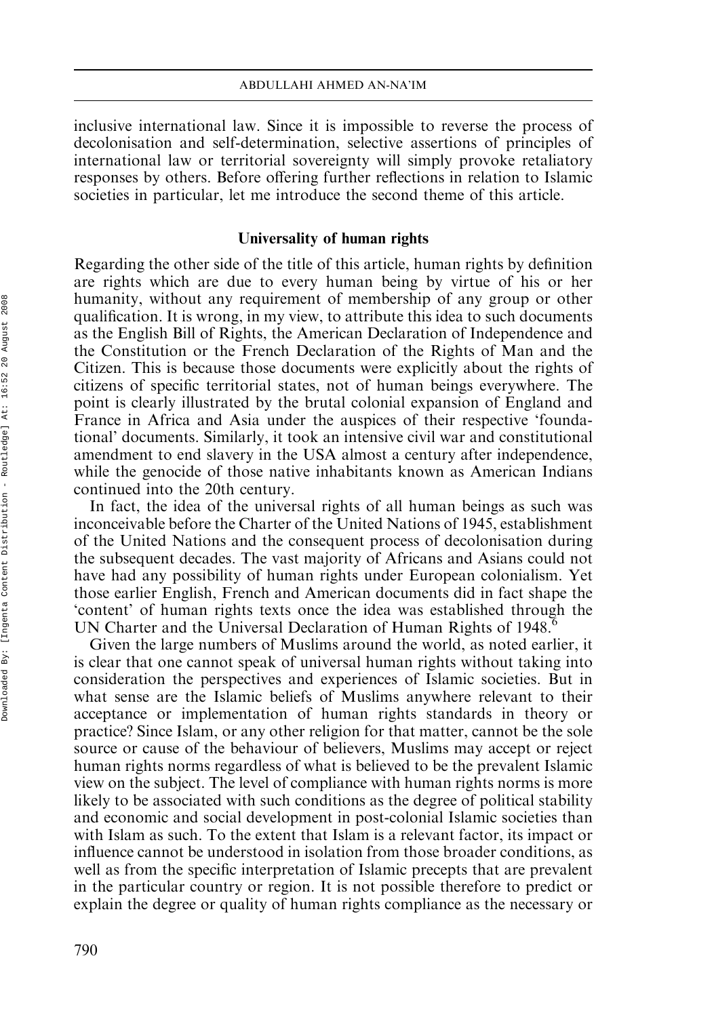inclusive international law. Since it is impossible to reverse the process of decolonisation and self-determination, selective assertions of principles of international law or territorial sovereignty will simply provoke retaliatory responses by others. Before offering further reflections in relation to Islamic societies in particular, let me introduce the second theme of this article.

## Universality of human rights

Regarding the other side of the title of this article, human rights by definition are rights which are due to every human being by virtue of his or her humanity, without any requirement of membership of any group or other qualification. It is wrong, in my view, to attribute this idea to such documents as the English Bill of Rights, the American Declaration of Independence and the Constitution or the French Declaration of the Rights of Man and the Citizen. This is because those documents were explicitly about the rights of citizens of specific territorial states, not of human beings everywhere. The point is clearly illustrated by the brutal colonial expansion of England and France in Africa and Asia under the auspices of their respective 'foundational' documents. Similarly, it took an intensive civil war and constitutional amendment to end slavery in the USA almost a century after independence, while the genocide of those native inhabitants known as American Indians continued into the 20th century.

In fact, the idea of the universal rights of all human beings as such was inconceivable before the Charter of the United Nations of 1945, establishment of the United Nations and the consequent process of decolonisation during the subsequent decades. The vast majority of Africans and Asians could not have had any possibility of human rights under European colonialism. Yet those earlier English, French and American documents did in fact shape the 'content' of human rights texts once the idea was established through the UN Charter and the Universal Declaration of Human Rights of 1948.<sup>6</sup>

Given the large numbers of Muslims around the world, as noted earlier, it is clear that one cannot speak of universal human rights without taking into consideration the perspectives and experiences of Islamic societies. But in what sense are the Islamic beliefs of Muslims anywhere relevant to their acceptance or implementation of human rights standards in theory or practice? Since Islam, or any other religion for that matter, cannot be the sole source or cause of the behaviour of believers, Muslims may accept or reject human rights norms regardless of what is believed to be the prevalent Islamic view on the subject. The level of compliance with human rights norms is more likely to be associated with such conditions as the degree of political stability and economic and social development in post-colonial Islamic societies than with Islam as such. To the extent that Islam is a relevant factor, its impact or influence cannot be understood in isolation from those broader conditions, as well as from the specific interpretation of Islamic precepts that are prevalent in the particular country or region. It is not possible therefore to predict or explain the degree or quality of human rights compliance as the necessary or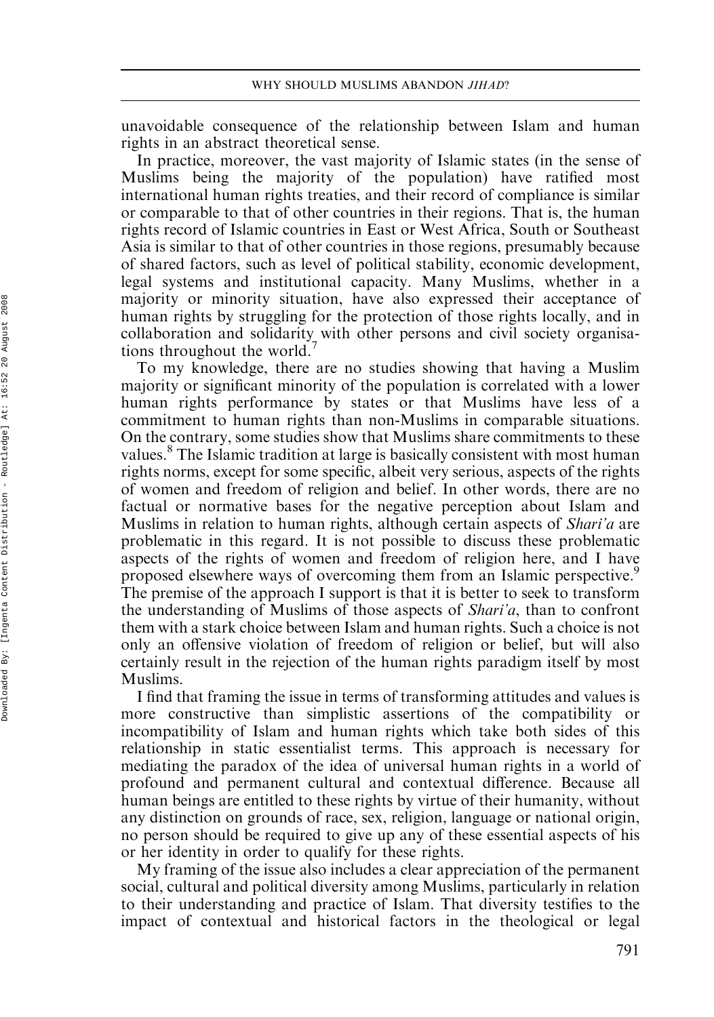unavoidable consequence of the relationship between Islam and human rights in an abstract theoretical sense.

In practice, moreover, the vast majority of Islamic states (in the sense of Muslims being the majority of the population) have ratified most international human rights treaties, and their record of compliance is similar or comparable to that of other countries in their regions. That is, the human rights record of Islamic countries in East or West Africa, South or Southeast Asia is similar to that of other countries in those regions, presumably because of shared factors, such as level of political stability, economic development, legal systems and institutional capacity. Many Muslims, whether in a majority or minority situation, have also expressed their acceptance of human rights by struggling for the protection of those rights locally, and in collaboration and solidarity with other persons and civil society organisations throughout the world.<sup>7</sup>

To my knowledge, there are no studies showing that having a Muslim majority or significant minority of the population is correlated with a lower human rights performance by states or that Muslims have less of a commitment to human rights than non-Muslims in comparable situations. On the contrary, some studies show that Muslims share commitments to these values.<sup>8</sup> The Islamic tradition at large is basically consistent with most human rights norms, except for some specific, albeit very serious, aspects of the rights of women and freedom of religion and belief. In other words, there are no factual or normative bases for the negative perception about Islam and Muslims in relation to human rights, although certain aspects of *Shari'a* are problematic in this regard. It is not possible to discuss these problematic aspects of the rights of women and freedom of religion here, and I have proposed elsewhere ways of overcoming them from an Islamic perspective. The premise of the approach I support is that it is better to seek to transform the understanding of Muslims of those aspects of Shari'a, than to confront them with a stark choice between Islam and human rights. Such a choice is not only an offensive violation of freedom of religion or belief, but will also certainly result in the rejection of the human rights paradigm itself by most Muslims.

I find that framing the issue in terms of transforming attitudes and values is more constructive than simplistic assertions of the compatibility or incompatibility of Islam and human rights which take both sides of this relationship in static essentialist terms. This approach is necessary for mediating the paradox of the idea of universal human rights in a world of profound and permanent cultural and contextual difference. Because all human beings are entitled to these rights by virtue of their humanity, without any distinction on grounds of race, sex, religion, language or national origin, no person should be required to give up any of these essential aspects of his or her identity in order to qualify for these rights.

My framing of the issue also includes a clear appreciation of the permanent social, cultural and political diversity among Muslims, particularly in relation to their understanding and practice of Islam. That diversity testifies to the impact of contextual and historical factors in the theological or legal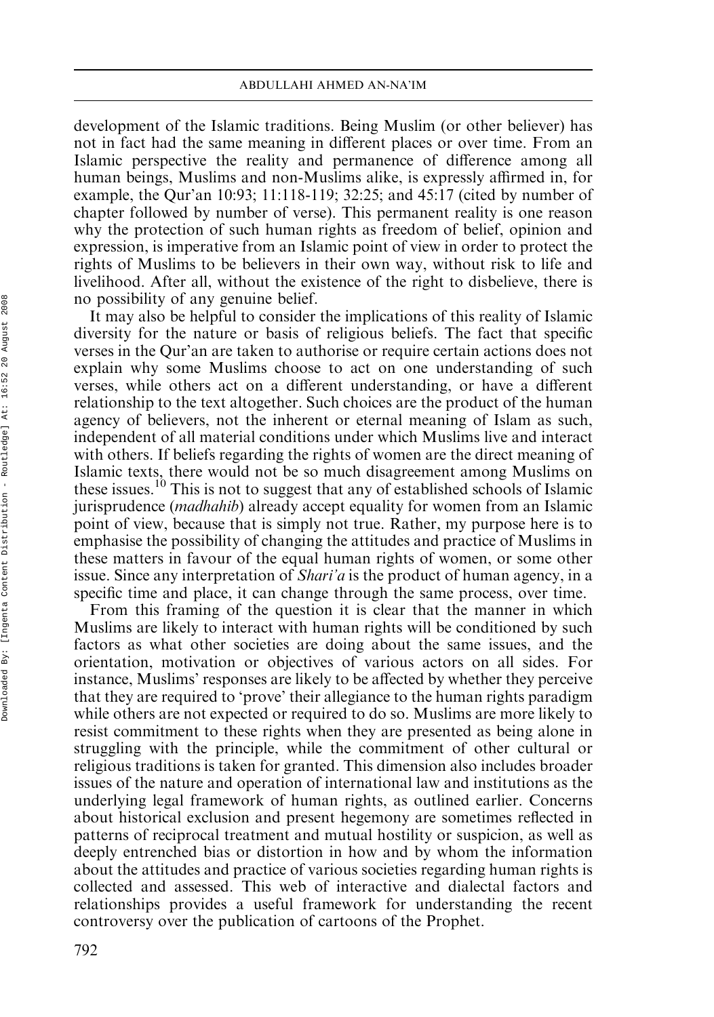development of the Islamic traditions. Being Muslim (or other believer) has not in fact had the same meaning in different places or over time. From an Islamic perspective the reality and permanence of difference among all human beings, Muslims and non-Muslims alike, is expressly affirmed in, for example, the Qur'an 10:93; 11:118-119; 32:25; and 45:17 (cited by number of chapter followed by number of verse). This permanent reality is one reason why the protection of such human rights as freedom of belief, opinion and expression, is imperative from an Islamic point of view in order to protect the rights of Muslims to be believers in their own way, without risk to life and livelihood. After all, without the existence of the right to disbelieve, there is no possibility of any genuine belief.

It may also be helpful to consider the implications of this reality of Islamic diversity for the nature or basis of religious beliefs. The fact that specific verses in the Qur'an are taken to authorise or require certain actions does not explain why some Muslims choose to act on one understanding of such verses, while others act on a different understanding, or have a different relationship to the text altogether. Such choices are the product of the human agency of believers, not the inherent or eternal meaning of Islam as such, independent of all material conditions under which Muslims live and interact with others. If beliefs regarding the rights of women are the direct meaning of Islamic texts, there would not be so much disagreement among Muslims on these issues.<sup>10</sup> This is not to suggest that any of established schools of Islamic jurisprudence (madhahib) already accept equality for women from an Islamic point of view, because that is simply not true. Rather, my purpose here is to emphasise the possibility of changing the attitudes and practice of Muslims in these matters in favour of the equal human rights of women, or some other issue. Since any interpretation of *Shari'a* is the product of human agency, in a specific time and place, it can change through the same process, over time.

From this framing of the question it is clear that the manner in which Muslims are likely to interact with human rights will be conditioned by such factors as what other societies are doing about the same issues, and the orientation, motivation or objectives of various actors on all sides. For instance, Muslims' responses are likely to be affected by whether they perceive that they are required to 'prove' their allegiance to the human rights paradigm while others are not expected or required to do so. Muslims are more likely to resist commitment to these rights when they are presented as being alone in struggling with the principle, while the commitment of other cultural or religious traditions is taken for granted. This dimension also includes broader issues of the nature and operation of international law and institutions as the underlying legal framework of human rights, as outlined earlier. Concerns about historical exclusion and present hegemony are sometimes reflected in patterns of reciprocal treatment and mutual hostility or suspicion, as well as deeply entrenched bias or distortion in how and by whom the information about the attitudes and practice of various societies regarding human rights is collected and assessed. This web of interactive and dialectal factors and relationships provides a useful framework for understanding the recent controversy over the publication of cartoons of the Prophet.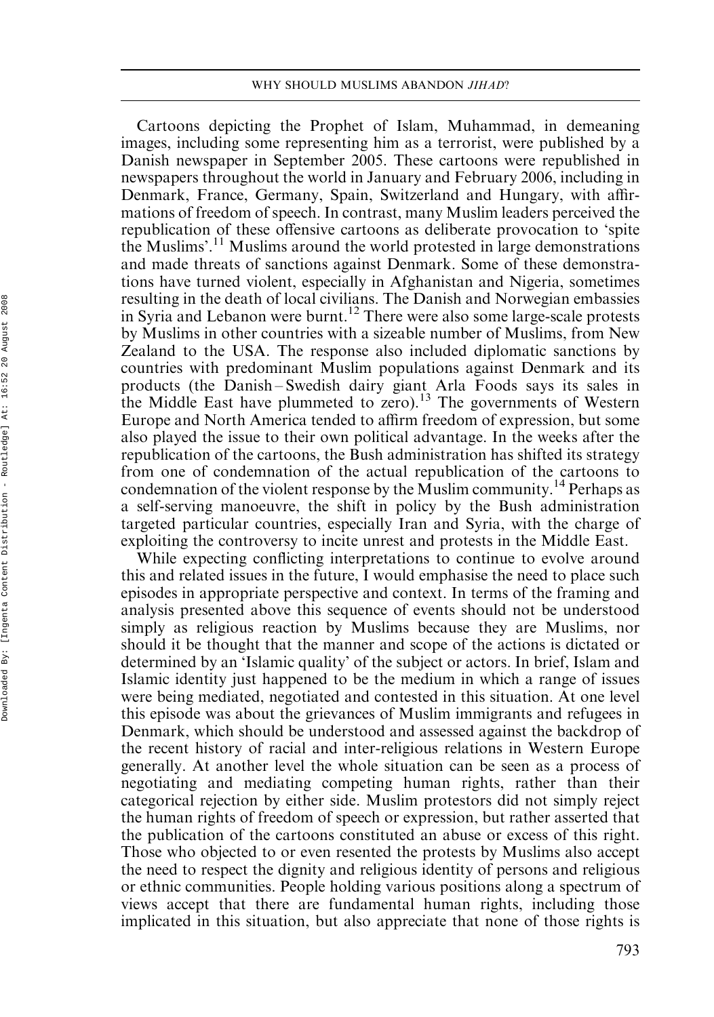Cartoons depicting the Prophet of Islam, Muhammad, in demeaning images, including some representing him as a terrorist, were published by a Danish newspaper in September 2005. These cartoons were republished in newspapers throughout the world in January and February 2006, including in Denmark, France, Germany, Spain, Switzerland and Hungary, with affirmations of freedom of speech. In contrast, many Muslim leaders perceived the republication of these offensive cartoons as deliberate provocation to 'spite the Muslims'.11 Muslims around the world protested in large demonstrations and made threats of sanctions against Denmark. Some of these demonstrations have turned violent, especially in Afghanistan and Nigeria, sometimes resulting in the death of local civilians. The Danish and Norwegian embassies in Syria and Lebanon were burnt.<sup>12</sup> There were also some large-scale protests by Muslims in other countries with a sizeable number of Muslims, from New Zealand to the USA. The response also included diplomatic sanctions by countries with predominant Muslim populations against Denmark and its products (the Danish – Swedish dairy giant Arla Foods says its sales in the Middle East have plummeted to zero).<sup>13</sup> The governments of Western Europe and North America tended to affirm freedom of expression, but some also played the issue to their own political advantage. In the weeks after the republication of the cartoons, the Bush administration has shifted its strategy from one of condemnation of the actual republication of the cartoons to condemnation of the violent response by the Muslim community.<sup>14</sup> Perhaps as a self-serving manoeuvre, the shift in policy by the Bush administration targeted particular countries, especially Iran and Syria, with the charge of exploiting the controversy to incite unrest and protests in the Middle East.

While expecting conflicting interpretations to continue to evolve around this and related issues in the future, I would emphasise the need to place such episodes in appropriate perspective and context. In terms of the framing and analysis presented above this sequence of events should not be understood simply as religious reaction by Muslims because they are Muslims, nor should it be thought that the manner and scope of the actions is dictated or determined by an 'Islamic quality' of the subject or actors. In brief, Islam and Islamic identity just happened to be the medium in which a range of issues were being mediated, negotiated and contested in this situation. At one level this episode was about the grievances of Muslim immigrants and refugees in Denmark, which should be understood and assessed against the backdrop of the recent history of racial and inter-religious relations in Western Europe generally. At another level the whole situation can be seen as a process of negotiating and mediating competing human rights, rather than their categorical rejection by either side. Muslim protestors did not simply reject the human rights of freedom of speech or expression, but rather asserted that the publication of the cartoons constituted an abuse or excess of this right. Those who objected to or even resented the protests by Muslims also accept the need to respect the dignity and religious identity of persons and religious or ethnic communities. People holding various positions along a spectrum of views accept that there are fundamental human rights, including those implicated in this situation, but also appreciate that none of those rights is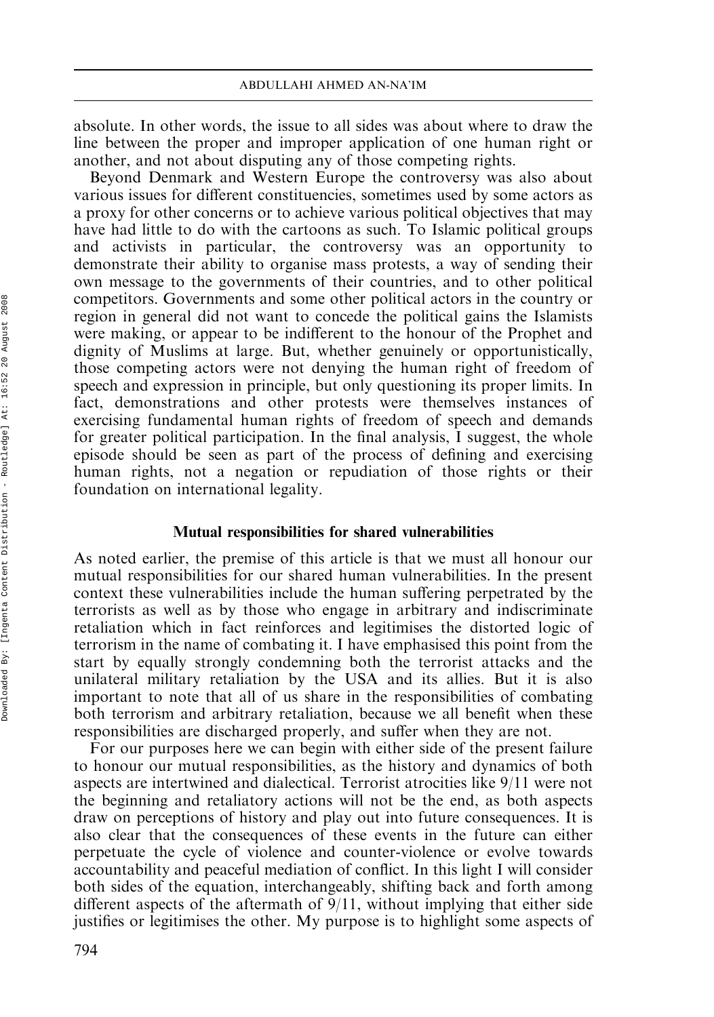absolute. In other words, the issue to all sides was about where to draw the line between the proper and improper application of one human right or another, and not about disputing any of those competing rights.

Beyond Denmark and Western Europe the controversy was also about various issues for different constituencies, sometimes used by some actors as a proxy for other concerns or to achieve various political objectives that may have had little to do with the cartoons as such. To Islamic political groups and activists in particular, the controversy was an opportunity to demonstrate their ability to organise mass protests, a way of sending their own message to the governments of their countries, and to other political competitors. Governments and some other political actors in the country or region in general did not want to concede the political gains the Islamists were making, or appear to be indifferent to the honour of the Prophet and dignity of Muslims at large. But, whether genuinely or opportunistically, those competing actors were not denying the human right of freedom of speech and expression in principle, but only questioning its proper limits. In fact, demonstrations and other protests were themselves instances of exercising fundamental human rights of freedom of speech and demands for greater political participation. In the final analysis, I suggest, the whole episode should be seen as part of the process of defining and exercising human rights, not a negation or repudiation of those rights or their foundation on international legality.

#### Mutual responsibilities for shared vulnerabilities

As noted earlier, the premise of this article is that we must all honour our mutual responsibilities for our shared human vulnerabilities. In the present context these vulnerabilities include the human suffering perpetrated by the terrorists as well as by those who engage in arbitrary and indiscriminate retaliation which in fact reinforces and legitimises the distorted logic of terrorism in the name of combating it. I have emphasised this point from the start by equally strongly condemning both the terrorist attacks and the unilateral military retaliation by the USA and its allies. But it is also important to note that all of us share in the responsibilities of combating both terrorism and arbitrary retaliation, because we all benefit when these responsibilities are discharged properly, and suffer when they are not.

For our purposes here we can begin with either side of the present failure to honour our mutual responsibilities, as the history and dynamics of both aspects are intertwined and dialectical. Terrorist atrocities like 9/11 were not the beginning and retaliatory actions will not be the end, as both aspects draw on perceptions of history and play out into future consequences. It is also clear that the consequences of these events in the future can either perpetuate the cycle of violence and counter-violence or evolve towards accountability and peaceful mediation of conflict. In this light I will consider both sides of the equation, interchangeably, shifting back and forth among different aspects of the aftermath of 9/11, without implying that either side justifies or legitimises the other. My purpose is to highlight some aspects of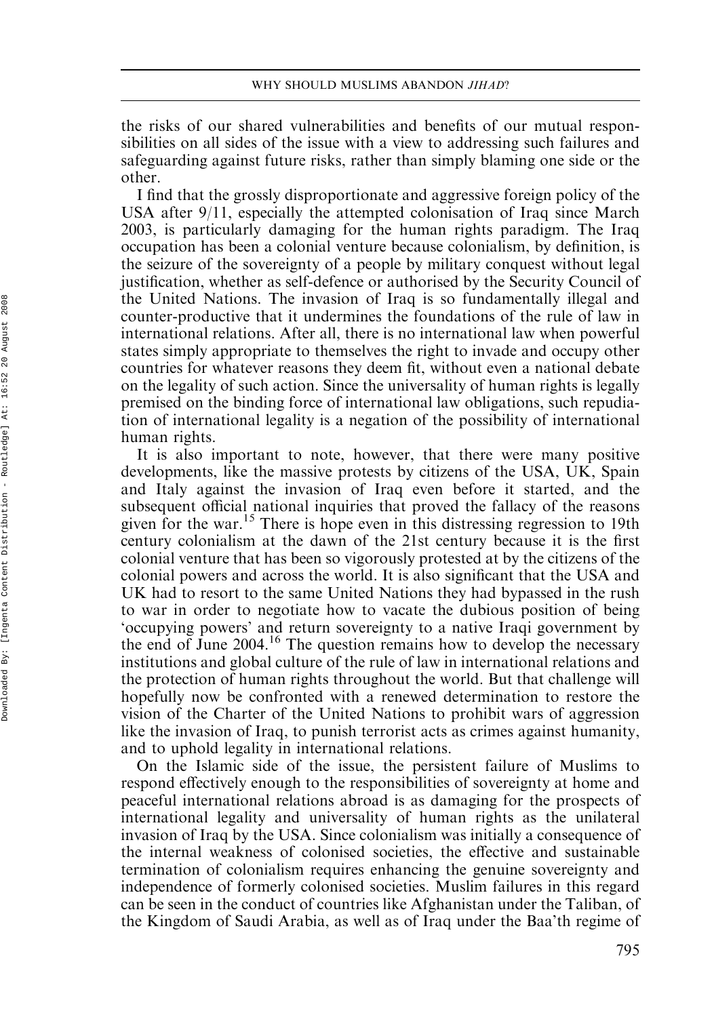the risks of our shared vulnerabilities and benefits of our mutual responsibilities on all sides of the issue with a view to addressing such failures and safeguarding against future risks, rather than simply blaming one side or the other.

I find that the grossly disproportionate and aggressive foreign policy of the USA after 9/11, especially the attempted colonisation of Iraq since March 2003, is particularly damaging for the human rights paradigm. The Iraq occupation has been a colonial venture because colonialism, by definition, is the seizure of the sovereignty of a people by military conquest without legal justification, whether as self-defence or authorised by the Security Council of the United Nations. The invasion of Iraq is so fundamentally illegal and counter-productive that it undermines the foundations of the rule of law in international relations. After all, there is no international law when powerful states simply appropriate to themselves the right to invade and occupy other countries for whatever reasons they deem fit, without even a national debate on the legality of such action. Since the universality of human rights is legally premised on the binding force of international law obligations, such repudiation of international legality is a negation of the possibility of international human rights.

It is also important to note, however, that there were many positive developments, like the massive protests by citizens of the USA, UK, Spain and Italy against the invasion of Iraq even before it started, and the subsequent official national inquiries that proved the fallacy of the reasons given for the war.15 There is hope even in this distressing regression to 19th century colonialism at the dawn of the 21st century because it is the first colonial venture that has been so vigorously protested at by the citizens of the colonial powers and across the world. It is also significant that the USA and UK had to resort to the same United Nations they had bypassed in the rush to war in order to negotiate how to vacate the dubious position of being 'occupying powers' and return sovereignty to a native Iraqi government by the end of June 2004.<sup>16</sup> The question remains how to develop the necessary institutions and global culture of the rule of law in international relations and the protection of human rights throughout the world. But that challenge will hopefully now be confronted with a renewed determination to restore the vision of the Charter of the United Nations to prohibit wars of aggression like the invasion of Iraq, to punish terrorist acts as crimes against humanity, and to uphold legality in international relations.

On the Islamic side of the issue, the persistent failure of Muslims to respond effectively enough to the responsibilities of sovereignty at home and peaceful international relations abroad is as damaging for the prospects of international legality and universality of human rights as the unilateral invasion of Iraq by the USA. Since colonialism was initially a consequence of the internal weakness of colonised societies, the effective and sustainable termination of colonialism requires enhancing the genuine sovereignty and independence of formerly colonised societies. Muslim failures in this regard can be seen in the conduct of countries like Afghanistan under the Taliban, of the Kingdom of Saudi Arabia, as well as of Iraq under the Baa'th regime of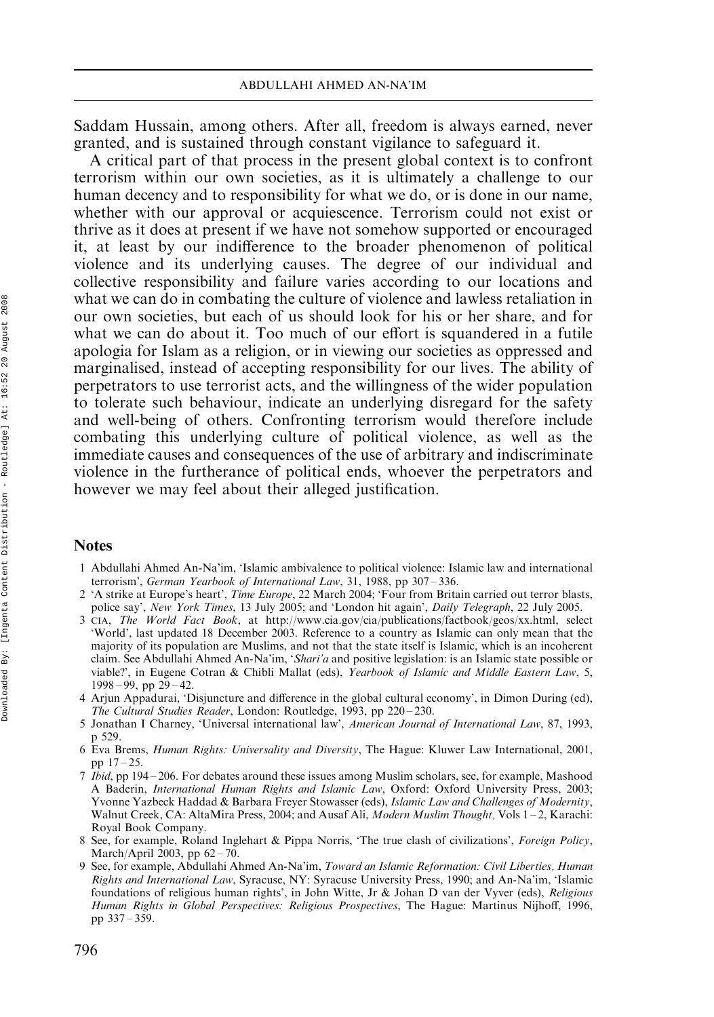Saddam Hussain, among others. After all, freedom is always earned, never granted, and is sustained through constant vigilance to safeguard it.

A critical part of that process in the present global context is to confront terrorism within our own societies, as it is ultimately a challenge to our human decency and to responsibility for what we do, or is done in our name, whether with our approval or acquiescence. Terrorism could not exist or thrive as it does at present if we have not somehow supported or encouraged it, at least by our indifference to the broader phenomenon of political violence and its underlying causes. The degree of our individual and collective responsibility and failure varies according to our locations and what we can do in combating the culture of violence and lawless retaliation in our own societies, but each of us should look for his or her share, and for what we can do about it. Too much of our effort is squandered in a futile apologia for Islam as a religion, or in viewing our societies as oppressed and marginalised, instead of accepting responsibility for our lives. The ability of perpetrators to use terrorist acts, and the willingness of the wider population to tolerate such behaviour, indicate an underlying disregard for the safety and well-being of others. Confronting terrorism would therefore include combating this underlying culture of political violence, as well as the immediate causes and consequences of the use of arbitrary and indiscriminate violence in the furtherance of political ends, whoever the perpetrators and however we may feel about their alleged justification.

### Notes

- 1 Abdullahi Ahmed An-Na'im, 'Islamic ambivalence to political violence: Islamic law and international terrorism', German Yearbook of International Law, 31, 1988, pp 307-336.
- 2 'A strike at Europe's heart', Time Europe, 22 March 2004; 'Four from Britain carried out terror blasts, police say', New York Times, 13 July 2005; and 'London hit again', Daily Telegraph, 22 July 2005.
- 3 CIA, The World Fact Book, at http://www.cia.gov/cia/publications/factbook/geos/xx.html, select 'World', last updated 18 December 2003. Reference to a country as Islamic can only mean that the majority of its population are Muslims, and not that the state itself is Islamic, which is an incoherent claim. See Abdullahi Ahmed An-Na'im, 'Shari'a and positive legislation: is an Islamic state possible or viable?', in Eugene Cotran & Chibli Mallat (eds), Yearbook of Islamic and Middle Eastern Law, 5,  $1998 - 99$ , pp  $29 - 42$ .
- 4 Arjun Appadurai, 'Disjuncture and difference in the global cultural economy', in Dimon During (ed), The Cultural Studies Reader, London: Routledge, 1993, pp 220 - 230.
- 5 Jonathan I Charney, 'Universal international law', American Journal of International Law, 87, 1993, p 529.
- 6 Eva Brems, Human Rights: Universality and Diversity, The Hague: Kluwer Law International, 2001, pp 17 – 25.
- 7 Ibid, pp 194 206. For debates around these issues among Muslim scholars, see, for example, Mashood A Baderin, International Human Rights and Islamic Law, Oxford: Oxford University Press, 2003; Yvonne Yazbeck Haddad & Barbara Freyer Stowasser (eds), Islamic Law and Challenges of Modernity, Walnut Creek, CA: AltaMira Press, 2004; and Ausaf Ali, *Modern Muslim Thought*, Vols 1-2, Karachi: Royal Book Company.
- 8 See, for example, Roland Inglehart & Pippa Norris, 'The true clash of civilizations', Foreign Policy, March/April 2003, pp 62-70.
- 9 See, for example, Abdullahi Ahmed An-Na'im, Toward an Islamic Reformation: Civil Liberties, Human Rights and International Law, Syracuse, NY: Syracuse University Press, 1990; and An-Na'im, 'Islamic foundations of religious human rights', in John Witte, Jr & Johan D van der Vyver (eds), Religious Human Rights in Global Perspectives: Religious Prospectives, The Hague: Martinus Nijhoff, 1996, pp 337 – 359.